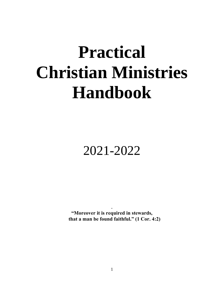# **Practical Christian Ministries Handbook**

# 2021-2022

**"Moreover it is required in stewards, that a man be found faithful." (1 Cor. 4:2)**

.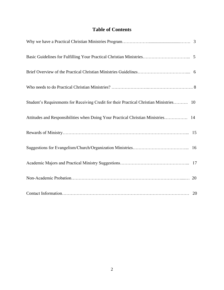# **Table of Contents**

| Student's Requirements for Receiving Credit for their Practical Christian Ministries 10 |
|-----------------------------------------------------------------------------------------|
| Attitudes and Responsibilities when Doing Your Practical Christian Ministries 14        |
|                                                                                         |
|                                                                                         |
|                                                                                         |
|                                                                                         |
|                                                                                         |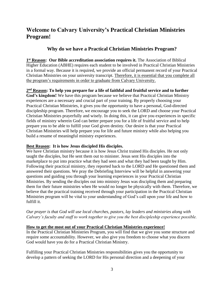# **Welcome to Calvary University's Practical Christian Ministries Program!**

# **Why do we have a Practical Christian Ministries Program?**

1<sup>st</sup> **Reason:** Our Bible accreditation association requires it. The Association of Biblical Higher Education (ABHE) requires each student to be involved in Practical Christian Ministries in a formal way. Because it is required, we provide an official permanent record of your Practical Christian Ministries on your university transcript. Therefore, it is essential that you complete all the program's requirements in order to graduate from Calvary University.

#### **2 nd Reason: To help you prepare for a life of faithful and fruitful service and to further**

**God's kingdom!** We have this program because we believe that Practical Christian Ministry experiences are a necessary and crucial part of your training. By properly choosing your Practical Christian Ministries, it gives you the opportunity to have a personal, God-directed discipleship program. Therefore, we encourage you to seek the LORD and choose your Practical Christian Ministries prayerfully and wisely. In doing this, it can give you experiences in specific fields of ministry wherein God can better prepare you for a life of fruitful service and to help prepare you to be able to fulfill your God given destiny. Our desire is that your Practical Christian Ministries will help prepare you for life and future ministry while also helping you build a resume of meaningful ministry experiences.

#### **Best Reason: It is how Jesus discipled His disciples.**

We have Christian ministry because it is how Jesus Christ trained His disciples. He not only taught the disciples, but He sent them out to minister. Jesus sent His disciples into the marketplace to put into practice what they had seen and what they had been taught by Him. Following their practical ministry, they reported back to the LORD and He questioned them and answered their questions. We pray the Debriefing Interview will be helpful in answering your questions and guiding you through your learning experiences in your Practical Christian Ministries. By sending the disciples out into ministry Jesus was discipling them and preparing them for their future ministries when He would no longer be physically with them. Therefore, we believe that the practical training received through your participation in the Practical Christian Ministries program will be vital to your understanding of God's call upon your life and how to fulfill it.

*Our prayer is that God will use local churches, pastors, lay leaders and ministries along with Calvary's faculty and staff to work together to give you the best discipleship experience possible.* 

#### **How to get the most out of your Practical Christian Ministries experience!**

In the Practical Christian Ministries Program, you will find that we give you some structure and require some accountability. However, we also give you freedom to choose what you discern God would have you do for a Practical Christian Ministry.

Fulfilling your Practical Christian Ministries responsibilities gives you the opportunity to develop a pattern of seeking the LORD for His personal direction and a deepening of your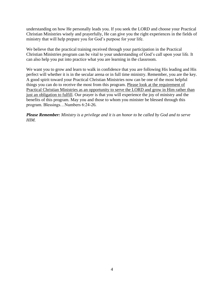understanding on how He personally leads you. If you seek the LORD and choose your Practical Christian Ministries wisely and prayerfully, He can give you the right experiences in the fields of ministry that will help prepare you for God's purpose for your life.

We believe that the practical training received through your participation in the Practical Christian Ministries program can be vital to your understanding of God's call upon your life. It can also help you put into practice what you are learning in the classroom.

We want you to grow and learn to walk in confidence that you are following His leading and His perfect will whether it is in the secular arena or in full time ministry. Remember, you are the key. A good spirit toward your Practical Christian Ministries now can be one of the most helpful things you can do to receive the most from this program. Please look at the requirement of Practical Christian Ministries as an opportunity to serve the LORD and grow in Him rather than just an obligation to fulfill. Our prayer is that you will experience the joy of ministry and the benefits of this program. May you and those to whom you minister be blessed through this program. Blessings…Numbers 6:24-26.

*Please Remember: Ministry is a privilege and it is an honor to be called by God and to serve HIM.*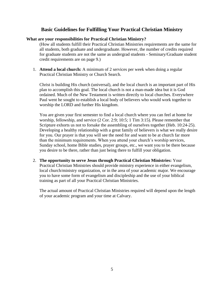### **Basic Guidelines for Fulfilling Your Practical Christian Ministry**

#### **What are your responsibilities for Practical Christian Ministry?**

(How all students fulfill their Practical Christian Ministries requirements are the same for all students, both graduate and undergraduate. However, the number of credits required for graduate students are not the same as undergrad students - Seminary/Graduate student credit requirements are on page 9.)

1. **Attend a local church:** A minimum of 2 services per week when doing a regular Practical Christian Ministry or Church Search.

Christ is building His church (universal), and the local church is an important part of His plan to accomplish this goal. The local church is not a man-made idea but it is God ordained. Much of the New Testament is written directly to local churches. Everywhere Paul went he sought to establish a local body of believers who would work together to worship the LORD and further His kingdom.

You are given your first semester to find a local church where you can feel at home for worship, fellowship, and service (2 Cor. 2:9; 10:5; 1 Tim 3:15). Please remember that Scripture exhorts us not to forsake the assembling of ourselves together (Heb. 10:24-25). Developing a healthy relationship with a great family of believers is what we really desire for you. Our prayer is that you will see the need for and want to be at church far more than the minimum requirements. When you attend your church's worship services, Sunday school, home Bible studies, prayer groups, etc., we want you to be there because you desire to be there, rather than just being there to fulfill your obligation.

2. **The opportunity to serve Jesus through Practical Christian Ministries:** Your Practical Christian Ministries should provide ministry experience in either evangelism, local church/ministry organization, or in the area of your academic major. We encourage you to have some form of evangelism and discipleship and the use of your biblical training as part of all your Practical Christian Ministries.

The actual amount of Practical Christian Ministries required will depend upon the length of your academic program and your time at Calvary.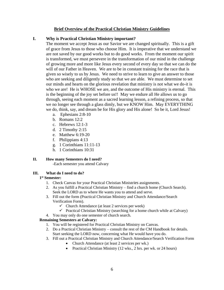#### **Brief Overview of the Practical Christian Ministry Guidelines**

#### **I. Why is Practical Christian Ministry important?**

The moment we accept Jesus as our Savior we are changed spiritually. This is a gift of grace from Jesus to those who choose Him. It is imperative that we understand we are not saved by our good works but to do good works. From the moment our spirit is transformed, we must persevere in the transformation of our mind in the challenge of growing more and more like Jesus every second of every day so that we can do the will of our Father in Heaven. We are to be in constant training for the race that is given so wisely to us by Jesus. We need to strive to learn to give an answer to those who are seeking and diligently study so that we are able. We must determine to set our minds and hearts on the glorious revelation that ministry is not what we do-it is who we are! He is WHOSE we are, and the outcome of His ministry is eternal. This is the beginning of the joy set before us!! May we endure all He allows us to go through, seeing each moment as a sacred learning lesson, a refining process, so that we no longer see through a glass dimly, but we KNOW Him. May EVERYTHING we do, think, say, and dream be for His glory and His alone! So be it, Lord Jesus!

- a. Ephesians 2:8-10
- b. Romans 12:2
- c. Hebrews 12:1-3
- d. 2 Timothy 2:15
- e. Matthew 6:19-20
- f. Philippians 4:13
- g. 1 Corinthians 11:11-13
- h. 1 Corinthians 10:31

#### **II. How many Semesters do I need?**

-Each semester you attend Calvary

#### **III. What do I need to do?**

#### **1 st Semester:**

- 1. Check Canvas for your Practical Christian Ministries assignments.
- 2. As you fulfill a Practical Christian Ministry find a church home (Church Search). Seek the LORD as to where He wants you to attend and serve.
- 3. Fill out the form (Practical Christian Ministry and Church Attendance/Search Verification Form).
	- $\checkmark$  Church Attendance (at least 2 services per week)
	- $\checkmark$  Practical Christian Ministry (searching for a home church while at Calvary)
- 4. You may only do one semester of church search.

#### **Remaining Semesters at Calvary:**

- 1. You will be registered for Practical Christian Ministry on Canvas.
- 2. Do a Practical Christian Ministry consult the rest of the CM Handbook for details. Start seeking the LORD now, concerning what He would have you do.
- 3. Fill out a Practical Christian Ministry and Church Attendance/Search Verification Form
	- Church Attendance (at least 2 services per wk.)
	- Practical Christian Ministry (12 wks., 2 hrs. per wk. or 24 hours)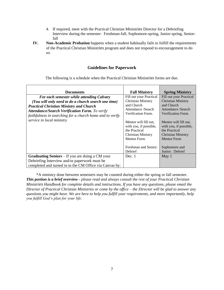- 4. If required, meet with the Practical Christian Ministries Director for a Debriefing Interview during the semester: Freshman-fall, Sophomore-spring, Junior-spring, Seniorfall
- **IV. Non-Academic Probation** happens when a student habitually fails to fulfill the requirements of the Practical Christian Ministries program and does not respond to encouragement to do so.

#### **Guidelines for Paperwork**

The following is a schedule when the Practical Christian Ministries forms are due.

| <b>Documents</b>                                                                                                   | <b>Fall Ministry</b>                                                                                                                                   | <b>Spring Ministry</b>                                                                                                                           |
|--------------------------------------------------------------------------------------------------------------------|--------------------------------------------------------------------------------------------------------------------------------------------------------|--------------------------------------------------------------------------------------------------------------------------------------------------|
| For each semester while attending Calvary                                                                          | Fill out your Practical                                                                                                                                | Fill out your Practical                                                                                                                          |
| (You will only need to do a church search one time)                                                                | <b>Christian Ministry</b>                                                                                                                              | <b>Christian Ministry</b>                                                                                                                        |
| <b>Practical Christian Ministry and Church</b>                                                                     | and Church                                                                                                                                             | and Church                                                                                                                                       |
| <b>Attendance/Search Verification Form.</b> To verify<br>faithfulness in searching for a church home and to verify | Attendance /Search                                                                                                                                     | Attendance /Search                                                                                                                               |
|                                                                                                                    | Verification Form.                                                                                                                                     | Verification Form.                                                                                                                               |
| service in local ministry                                                                                          | Mentor will fill out,<br>with you, if possible,<br>the Practical<br><b>Christian Ministry</b><br><b>Mentor Form</b><br>Freshman and Senior:<br>Debrief | Mentor will fill out,<br>with you, if possible,<br>the Practical<br>Christian Ministry<br><b>Mentor Form</b><br>Sophomore and<br>Junior: Debrief |
| <b>Graduating Seniors</b> – If you are doing a CM your                                                             | Dec. 1                                                                                                                                                 | May 1                                                                                                                                            |
| Debriefing Interview and/or paperwork must be                                                                      |                                                                                                                                                        |                                                                                                                                                  |
| completed and turned in to the CM Office via Canvas by:                                                            |                                                                                                                                                        |                                                                                                                                                  |

\*A ministry done between semesters may be counted during either the spring or fall semester. *This portion is a brief overview - please read and always consult the rest of your Practical Christian Ministries Handbook for complete details and instructions. If you have any questions, please email the Director of Practical Christian Ministries or come by the office – the Director will be glad to answer any questions you might have. We are here to help you fulfill your requirements, and more importantly, help you fulfill God's plan for your life.*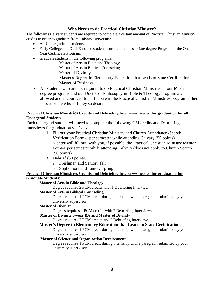#### **Who Needs to do Practical Christian Ministry?**

The following Calvary students are required to complete a certain amount of Practical Christian Ministry credits in order to graduate from Calvary University:

- All Undergraduate students
- Early College and Dual Enrolled students enrolled in an associate degree Program or the One Year Certificate Program.
- Graduate students in the following programs:
	- Master of Arts in Bible and Theology
	- Master of Arts in Biblical Counseling
	- Master of Divinity
	- Master's Degree in Elementary Education that Leads to State Certification.
	- Master of Business
- All students who are not required to do Practical Christian Ministries in our Master degree programs and our Doctor of Philosophy in Bible & Theology program are allowed and encouraged to participate in the Practical Christian Ministries program either in part or the whole if they so desire.

#### **Practical Christian Ministries Credits and Debriefing Interviews needed for graduation for all Undergrad Students:**

Each undergrad student will need to complete the following CM credits and Debriefing Interviews for graduation via Canvas:

- 1. Fill out your Practical Christian Ministry and Church Attendance /Search Verification Form-1 per semester while attending Calvary (50 points)
- 2. Mentor will fill out, with you, if possible, the Practical Christian Ministry Mentor Form-1 per semester while attending Calvary (does not apply to Church Search) (50 points)
- **3.** Debrief (50 points)
	- a. Freshman and Senior: fall
	- b. Sophomore and Junior: spring

# **Practical Christian Ministries Credits and Debriefing Interviews needed for graduation for**

#### **Graduate Students:**

#### **Master of Arts in Bible and Theology**

Degree requires 2 PCM credits with 1 Debriefing Interview

#### **Master of Arts in Biblical Counseling**

Degree requires 1 PCM credit during internship with a paragraph submitted by your university supervisor

#### **Master of Divinity**

Degrees requires 4 PCM credits with 2 Debriefing Interviews

#### **Master of Divinity 5-year BA and Master of Divinity**

Degree requires 7 PCM credits and 2 Debriefing Interviews

#### **Master's Degree in Elementary Education that Leads to State Certification.**

Degree requires 1 PCM credit during internship with a paragraph submitted by your university supervisor

#### **Master of Science and Organization Development**

Degree requires 1 PCM credit during internship with a paragraph submitted by your university supervisor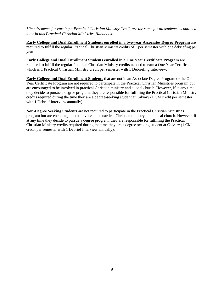*\*Requirements for earning a Practical Christian Ministry Credit are the same for all students as outlined later in this Practical Christian Ministries Handbook.*

**Early College and Dual Enrollment Students enrolled in a two-year Associates Degree Program** are required to fulfill the regular Practical Christian Ministry credits of 1 per semester with one debriefing per year.

**Early College and Dual Enrollment Students enrolled in a One Year Certificate Program** are required to fulfill the regular Practical Christian Ministry credits needed to earn a One Year Certificate which is 1 Practical Christian Ministry credit per semester with 1 Debriefing Interview.

**Early College and Dual Enrollment Students** that are not in an Associate Degree Program or the One Year Certificate Program are not required to participate in the Practical Christian Ministries program but are encouraged to be involved in practical Christian ministry and a local church. However, if at any time they decide to pursue a degree program, they are responsible for fulfilling the Practical Christian Ministry credits required during the time they are a degree-seeking student at Calvary (1 CM credit per semester with 1 Debrief Interview annually).

**Non-Degree Seeking Students** are not required to participate in the Practical Christian Ministries program but are encouraged to be involved in practical Christian ministry and a local church. However, if at any time they decide to pursue a degree program, they are responsible for fulfilling the Practical Christian Ministry credits required during the time they are a degree-seeking student at Calvary (1 CM credit per semester with 1 Debrief Interview annually).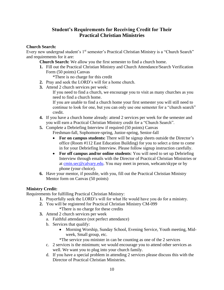# **Student's Requirements for Receiving Credit for Their Practical Christian Ministries**

#### **Church Search:**

Every new undergrad student's 1<sup>st</sup> semester's Practical Christian Ministry is a "Church Search" and requirements for it are:

**Church Search:** We allow you the first semester to find a church home.

**1.** Fill out the Practical Christian Ministry and Church Attendance/Search Verification Form (50 points) Canvas

\*There is no charge for this credit

- **2.** Pray and seek the LORD's will for a home church.
- **3.** Attend 2 church services per week:

If you need to find a church, we encourage you to visit as many churches as you need to find a church home.

If you are unable to find a church home your first semester you will still need to continue to look for one, but you can only use one semester for a "church search" credit.

- **4.** If you have a church home already: attend 2 services per week for the semester and you will earn a Practical Christian Ministry credit for a "Church Search".
- **5.** Complete a Debriefing Interview if required (50 points) Canvas Freshman-fall, Sophomore-spring, Junior-spring, Senior-fall
	- **For on campus students:** There will be signup sheets outside the Director's office (Room #112 East Education Building) for you to select a time to come in for your Debriefing Interview. Please follow signup instruction carefully.
	- **For off campus and/or online students**: You will need to set up Debriefing Interview through emails with the Director of Practical Christian Ministries or at [cmin.sec@calvary.edu.](mailto:cmin.sec@calvary.edu) You may meet in person, webcam/skype or by phone (your choice).
- **6.** Have your mentor, if possible, with you, fill out the Practical Christian Ministry Mentor form on Canvas (50 points)

#### **Ministry Credit:**

Requirements for fulfilling Practical Christian Ministry:

- **1.** Prayerfully seek the LORD's will for what He would have you do for a ministry.
- **2.** You will be registered for Practical Christian Ministry CM-099 \*There is no charge for these credits
- **3.** Attend 2 church services per week
	- a. Faithful attendance (not perfect attendance)
	- b. Services that qualify:
		- Morning Worship, Sunday School, Evening Service, Youth meeting, Midweek, Small group, etc.

\*The service you minister in can be counting as one of the 2 services

- c. 2 services is the minimum; we would encourage you to attend other services as well. We want you to plug into your church family.
- d. If you have a special problem in attending 2 services please discuss this with the Director of Practical Christian Ministries.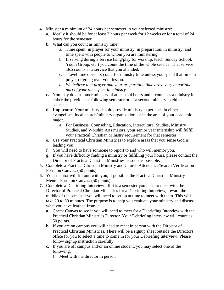- **4.** Minister a minimum of 24 hours per semester in your selected ministry:
	- a. Ideally it should be for at least 2 hours per week for 12 weeks or for a total of 24 hours for the semester.
	- b. What can you count as ministry time?
		- a. Time spent: in prayer for your ministry, in preparation, in ministry, and time spent with people to whom you are ministering.
		- b. If serving during a service (sing/play for worship, teach Sunday School, Youth Group, etc.) you count the time of the whole service. That service also counts as a service that you attended.
		- c. Travel time does not count for ministry time unless you spend that time in prayer or going over your lesson.
		- *d. We believe that prayer and your preparation time are a very important part of your time spent in ministry.*
	- **c.** You may do a summer ministry of at least 24 hours and it counts as a ministry in either the previous or following semester or as a second ministry in either semester.
	- d. **Important:** Your ministry should provide ministry experience in either evangelism, local church/ministry organization, or in the area of your academic major.
		- a. For Business, Counseling, Education, Intercultural Studies, Ministry Studies, and Worship Arts majors, your senior year internship will fulfill your Practical Christian Ministry requirement for that semester.
	- e. Use your Practical Christian Ministries to explore areas that you sense God is leading you.
	- f. You will need to have someone to report to and who will mentor you.
	- g. If you have difficulty finding a ministry or fulfilling your hours, please contact the Director of Practical Christian Ministries as soon as possible.
- **5.** Complete a Practical Christian Ministry and Church Attendance/Search Verification Form on Canvas. (50 points)
- **6.** Your mentor will fill out, with you, if possible, the Practical Christian Ministry Mentor Form on Canvas. (50 points)
- **7.** Complete a Debriefing Interview: If it is a semester you need to meet with the Director of Practical Christian Ministries for a Debriefing Interview, toward the middle of the semester you will need to set up at time to meet with them. This will take 20 to 30 minutes. The purpose is to help you evaluate your ministry and discuss what you have learned from it.
	- **a.** Check Canvas to see if you will need to meet for a Debriefing Interview with the Practical Christian Ministries Director. Your Debriefing interview will count as 50 points.
	- **b.** If you are on campus you will need to meet in person with the Director of Practical Christian Ministries. There will be a signup sheet outside the Directors office for you to select a time to come in for your Debriefing Interview. Please follow signup instruction carefully.
	- **c.** If you are off campus and/or an online student, you may select one of the following:
		- 1. Meet with the director in person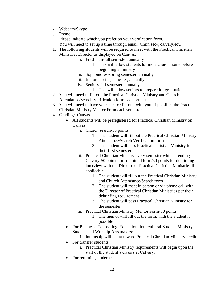- 2. Webcam/Skype
- 3. Phone

Please indicate which you prefer on your verification form.

You will need to set up a time through email. Cmin.sec@calvary.edu

- 1. The following students will be required to meet with the Practical Christian Ministries Director as displayed on Canvas:
	- i. Freshman-fall semester, annually
		- 1. This will allow students to find a church home before beginning a ministry
	- ii. Sophomores-spring semester, annually
	- iii. Juniors-spring semester, annually
	- iv. Seniors-fall semester, annually
		- 1. This will allow seniors to prepare for graduation
- 2. You will need to fill out the Practical Christian Ministry and Church Attendance/Search Verification form each semester.
- 3. You will need to have your mentor fill out, with you, if possible, the Practical Christian Ministry Mentor Form each semester.
- 4. Grading: Canvas
	- All students will be preregistered for Practical Christian Ministry on Canvas
		- i. Church search-50 points
			- 1. The student will fill out the Practical Christian Ministry Attendance/Search Verification form
			- 2. The student will pass Practical Christian Ministry for their first semester
		- ii. Practical Christian Ministry every semester while attending Calvary-50 points for submitted form/50 points for debriefing interview with the Director of Practical Christian Ministries if applicable
			- 1. The student will fill out the Practical Christian Ministry and Church Attendance/Search form
			- 2. The student will meet in person or via phone call with the Director of Practical Christian Ministries per their debriefing requirement
			- 3. The student will pass Practical Christian Ministry for the semester
		- iii. Practical Christian Ministry Mentor Form-50 points
			- 1. The mentor will fill out the form, with the student if possible
	- For Business, Counseling, Education, Intercultural Studies, Ministry Studies, and Worship Arts majors:
		- i. Internship will count toward Practical Christian Ministry credit.
	- For transfer students:
		- i. Practical Christian Ministry requirements will begin upon the start of the student's classes at Calvary.
	- For returning students: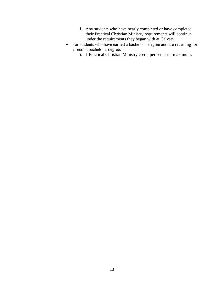- i. Any students who have nearly completed or have completed their Practical Christian Ministry requirements will continue under the requirements they began with at Calvary.
- For students who have earned a bachelor's degree and are returning for a second bachelor's degree:
	- i. 1 Practical Christian Ministry credit per semester maximum.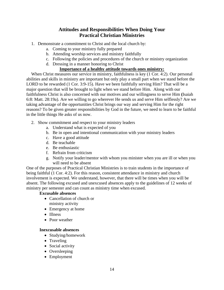# **Attitudes and Responsibilities When Doing Your Practical Christian Ministries**

- 1. Demonstrate a commitment to Christ and the local church by:
	- a. Coming to your ministry fully prepared
	- b. Attending worship services and ministry faithfully
	- c. Following the policies and procedures of the church or ministry organization
	- d. Dressing in a manner honoring to Christ

#### **Importance of a healthy attitude towards ones ministry:**

When Christ measures our service in ministry, faithfulness is key (1 Cor. 4:2). Our personal abilities and skills in ministry are important but only play a small part when we stand before the LORD to be rewarded (1 Cor. 3:9-15). Have we been faithfully serving Him? That will be a major question that will be brought to light when we stand before Him. Along with our faithfulness Christ is also concerned with our motives and our willingness to serve Him **(**Isaiah 6:8: Matt. 28:19a). Are we willing to go wherever He sends us and serve Him selflessly? Are we taking advantage of the opportunities Christ brings our way and serving Him for the right reasons? To be given greater responsibilities by God in the future, we need to learn to be faithful in the little things He asks of us now.

- 2. Show commitment and respect to your ministry leaders
	- a. Understand what is expected of you
	- b. Be in open and intentional communication with your ministry leaders
	- c. Have a good attitude
	- d. Be teachable
	- e. Be enthusiastic
	- f. Refrain from criticism
	- g. Notify your leader/mentor with whom you minister when you are ill or when you will need to be absent

One of the purposes of Practical Christian Ministries is to train students in the importance of being faithful (1 Cor. 4:2). For this reason, consistent attendance in ministry and church involvement is expected. We understand, however, that there will be times when you will be absent. The following excused and unexcused absences apply to the guidelines of 12 weeks of ministry per semester and can count as ministry time when excused.

#### **Excusable absences**

- Cancellation of church or ministry activity
- Emergency at home
- Illness
- Poor weather

#### **Inexcusable absences**

- Studying/homework
- Traveling
- Social activity
- Oversleeping
- Employment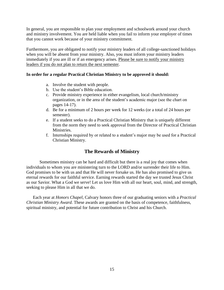In general, you are responsible to plan your employment and schoolwork around your church and ministry involvement. You are held liable when you fail to inform your employer of times that you cannot work because of your ministry commitment.

Furthermore, you are obligated to notify your ministry leaders of all college-sanctioned holidays when you will be absent from your ministry. Also, you must inform your ministry leaders immediately if you are ill or if an emergency arises. Please be sure to notify your ministry leaders if you do not plan to return the next semester.

#### **In order for a regular Practical Christian Ministry to be approved it should:**

- a. Involve the student with people.
- b. Use the student's Bible education.
- c. Provide ministry experience in either evangelism, local church/ministry organization, or in the area of the student's academic major (see the chart on pages 14-17).
- d. Be for a minimum of 2 hours per week for 12 weeks (or a total of 24 hours per semester).
- e. If a student seeks to do a Practical Christian Ministry that is uniquely different from the norm they need to seek approval from the Director of Practical Christian Ministries.
- f. Internships required by or related to a student's major may be used for a Practical Christian Ministry.

# **The Rewards of Ministry**

Sometimes ministry can be hard and difficult but there is a real joy that comes when individuals to whom you are ministering turn to the LORD and/or surrender their life to Him. God promises to be with us and that He will never forsake us. He has also promised to give us eternal rewards for our faithful service. Earning rewards started the day we trusted Jesus Christ as our Savior. What a God we serve! Let us love Him with all our heart, soul, mind, and strength, seeking to please Him in all that we do.

Each year at *Honors Chapel*, Calvary honors three of our graduating seniors with a *Practical Christian Ministry Award*. These awards are granted on the basis of competence, faithfulness, spiritual ministry, and potential for future contribution to Christ and his Church.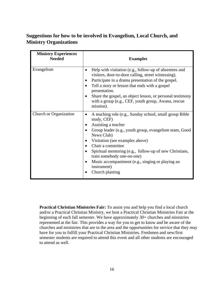# **Suggestions for how to be involved in Evangelism, Local Church, and Ministry Organizations**

| <b>Ministry Experiences</b><br><b>Needed</b> | <b>Examples</b>                                                                                                                                                                                                                                                                                                                                                                                                           |
|----------------------------------------------|---------------------------------------------------------------------------------------------------------------------------------------------------------------------------------------------------------------------------------------------------------------------------------------------------------------------------------------------------------------------------------------------------------------------------|
| Evangelism                                   | Help with visitation (e.g., follow-up of absentees and<br>visitors, door-to-door calling, street witnessing).<br>Participate in a drama presentation of the gospel.<br>Tell a story or lesson that ends with a gospel<br>presentation.<br>Share the gospel, an object lesson, or personal testimony<br>with a group (e.g., CEF, youth group, Awana, rescue<br>mission).                                                   |
| Church or Organization                       | A teaching role (e.g., Sunday school, small group Bible<br>$\bullet$<br>study, CEF)<br>Assisting a teacher<br>Group leader (e.g., youth group, evangelism team, Good<br>News Club)<br>Visitation (see examples above)<br>Chair a committee<br>Spiritual mentoring (e.g., follow-up of new Christians,<br>train somebody one-on-one)<br>Music accompaniment (e.g., singing or playing an<br>instrument)<br>Church planting |

**Practical Christian Ministries Fair:** To assist you and help you find a local church and/or a Practical Christian Ministry, we host a Practical Christian Ministries Fair at the beginning of each fall semester. We have approximately 30+ churches and ministries represented at the fair. This provides a way for you to get to know and be aware of the churches and ministries that are in the area and the opportunities for service that they may have for you to fulfill your Practical Christian Ministries. Freshmen and new/first semester students are required to attend this event and all other students are encouraged to attend as well.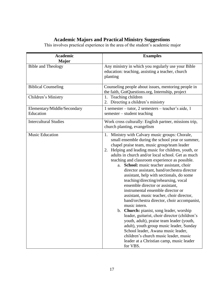# **Academic Majors and Practical Ministry Suggestions**

This involves practical experience in the area of the student's academic major

| <b>Academic</b>                          | <b>Examples</b>                                                                                                                                                                                                                                                                                                                                                                                                                                                                                                                                                                                                                                                                                                                                                                                                                                                                                                                                                                                                        |  |
|------------------------------------------|------------------------------------------------------------------------------------------------------------------------------------------------------------------------------------------------------------------------------------------------------------------------------------------------------------------------------------------------------------------------------------------------------------------------------------------------------------------------------------------------------------------------------------------------------------------------------------------------------------------------------------------------------------------------------------------------------------------------------------------------------------------------------------------------------------------------------------------------------------------------------------------------------------------------------------------------------------------------------------------------------------------------|--|
| <b>Major</b>                             |                                                                                                                                                                                                                                                                                                                                                                                                                                                                                                                                                                                                                                                                                                                                                                                                                                                                                                                                                                                                                        |  |
| <b>Bible and Theology</b>                | Any ministry in which you regularly use your Bible<br>education: teaching, assisting a teacher, church<br>planting                                                                                                                                                                                                                                                                                                                                                                                                                                                                                                                                                                                                                                                                                                                                                                                                                                                                                                     |  |
| <b>Biblical Counseling</b>               | Counseling people about issues, mentoring people in<br>the faith, GotQuestions.org, Internship, project                                                                                                                                                                                                                                                                                                                                                                                                                                                                                                                                                                                                                                                                                                                                                                                                                                                                                                                |  |
| Children's Ministry                      | 1. Teaching children<br>2. Directing a children's ministry                                                                                                                                                                                                                                                                                                                                                                                                                                                                                                                                                                                                                                                                                                                                                                                                                                                                                                                                                             |  |
| Elementary/Middle/Secondary<br>Education | 1 semester - tutor, 2 semesters - teacher's aide, 1<br>semester – student teaching                                                                                                                                                                                                                                                                                                                                                                                                                                                                                                                                                                                                                                                                                                                                                                                                                                                                                                                                     |  |
| <b>Intercultural Studies</b>             | Work cross culturally: English partner, missions trip,<br>church planting, evangelism                                                                                                                                                                                                                                                                                                                                                                                                                                                                                                                                                                                                                                                                                                                                                                                                                                                                                                                                  |  |
| <b>Music Education</b>                   | 1. Ministry with Calvary music groups: Chorale,<br>small ensemble during the school year or summer,<br>chapel praise team, music group/team leader<br>Helping and leading music for children, youth, or<br>2.<br>adults in church and/or local school. Get as much<br>teaching and classroom experience as possible.<br>a. School: music teacher assistant, choir<br>director assistant, band/orchestra director<br>assistant, help with sectionals, do some<br>teaching/directing/rehearsing, vocal<br>ensemble director or assistant,<br>instrumental ensemble director or<br>assistant, music teacher, choir director,<br>band/orchestra director, choir accompanist,<br>music intern.<br>b. Church: pianist, song leader, worship<br>leader, guitarist, choir director (children's<br>youth, adult), praise team leader (youth,<br>adult), youth group music leader, Sunday<br>School leader, Awana music leader,<br>children's church music leader, music<br>leader at a Christian camp, music leader<br>for VBS. |  |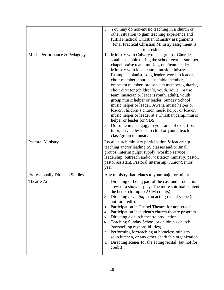|                                        | You may do non-music teaching in a church or<br>3.<br>other situation to gain teaching experience and<br>fulfill Practical Christian Ministry assignments.<br>Final Practical Christian Ministry assignment is<br>internship.                                                                                                                                                                                                                                                                                                                                                                                                                                                                                                                                                                                                               |  |
|----------------------------------------|---------------------------------------------------------------------------------------------------------------------------------------------------------------------------------------------------------------------------------------------------------------------------------------------------------------------------------------------------------------------------------------------------------------------------------------------------------------------------------------------------------------------------------------------------------------------------------------------------------------------------------------------------------------------------------------------------------------------------------------------------------------------------------------------------------------------------------------------|--|
| Music Performance & Pedagogy           | Ministry with Calvary music groups: Chorale,<br>1.<br>small ensemble during the school year or summer,<br>chapel praise team, music group/team leader.<br>Ministry with local church music ministry.<br>2.<br>Examples: pianist, song leader, worship leader,<br>choir member, church ensemble member,<br>orchestra member, praise team member, guitarist,<br>choir director (children's, youth, adult), praise<br>team musician or leader (youth, adult), youth<br>group music helper or leader, Sunday School<br>music helper or leader, Awana music helper or<br>leader, children's church music helper or leader,<br>music helper or leader at a Christian camp, music<br>helper or leader for VBS.<br>Do some in pedagogy in your area of expertise:<br>3.<br>tutor, private lessons to child or youth, teach<br>class/group in music. |  |
| <b>Pastoral Ministry</b>               | Local church ministry participation & leadership -<br>teaching and/or leading SS classes and/or small<br>groups, interim pulpit supply, worship service<br>leadership, outreach and/or visitation ministry, pastor,<br>pastor assistant, Pastoral Internship (Junior/Senior<br>year)                                                                                                                                                                                                                                                                                                                                                                                                                                                                                                                                                        |  |
| <b>Professionally Directed Studies</b> | Any ministry that relates to your major or minor.                                                                                                                                                                                                                                                                                                                                                                                                                                                                                                                                                                                                                                                                                                                                                                                           |  |
| <b>Theatre Arts</b>                    | Directing or being part of the cast and production<br>1.<br>crew of a show or play. The more spiritual content<br>the better (for up to 2 CM credits).<br>Directing or acting in an acting recital scene (but<br>2.<br>not for credit).<br>Participation in Chapel Theatre for non-credit<br>3.<br>Participation in student's church theatre program<br>4.<br>Directing a church theatre production<br>5.<br>Teaching Sunday School or children's church<br>6.<br>(storytelling responsibilities)<br>Performing for/teaching at homeless ministry,<br>7.<br>soup kitchen, or any other charitable organization<br>Directing scenes for the acting recital (but not for<br>8.<br>credit)                                                                                                                                                     |  |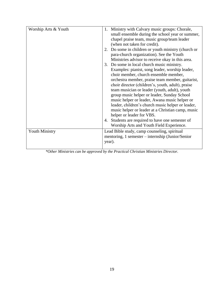| Worship Arts & Youth  |        | 1. Ministry with Calvary music groups: Chorale,     |
|-----------------------|--------|-----------------------------------------------------|
|                       |        | small ensemble during the school year or summer,    |
|                       |        | chapel praise team, music group/team leader         |
|                       |        | (when not taken for credit).                        |
|                       |        | 2. Do some in children or youth ministry (church or |
|                       |        | para-church organization). See the Youth            |
|                       |        | Ministries advisor to receive okay in this area.    |
|                       |        | 3. Do some in local church music ministry.          |
|                       |        | Examples: pianist, song leader, worship leader,     |
|                       |        | choir member, church ensemble member,               |
|                       |        | orchestra member, praise team member, guitarist,    |
|                       |        | choir director (children's, youth, adult), praise   |
|                       |        | team musician or leader (youth, adult), youth       |
|                       |        | group music helper or leader, Sunday School         |
|                       |        | music helper or leader, Awana music helper or       |
|                       |        | leader, children's church music helper or leader,   |
|                       |        | music helper or leader at a Christian camp, music   |
|                       |        | helper or leader for VBS.                           |
|                       | 4.     | Students are required to have one semester of       |
|                       |        | Worship Arts and Youth Field Experience.            |
| <b>Youth Ministry</b> |        | Lead Bible study, camp counseling, spiritual        |
|                       |        | mentoring, 1 semester – internship (Junior/Senior   |
|                       | year). |                                                     |
|                       |        |                                                     |
|                       |        |                                                     |

*\*Other Ministries can be approved by the Practical Christian Ministries Director.*